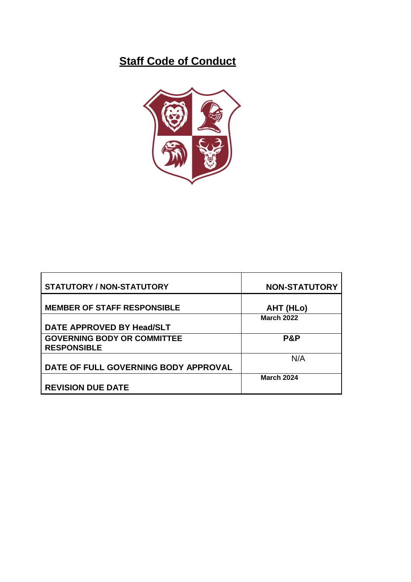# **Staff Code of Conduct**



| <b>STATUTORY / NON-STATUTORY</b>                         | <b>NON-STATUTORY</b> |
|----------------------------------------------------------|----------------------|
| <b>MEMBER OF STAFF RESPONSIBLE</b>                       | AHT (HLo)            |
|                                                          | <b>March 2022</b>    |
| DATE APPROVED BY Head/SLT                                |                      |
| <b>GOVERNING BODY OR COMMITTEE</b><br><b>RESPONSIBLE</b> | P&P                  |
|                                                          | N/A                  |
| DATE OF FULL GOVERNING BODY APPROVAL                     |                      |
|                                                          | <b>March 2024</b>    |
| <b>REVISION DUE DATE</b>                                 |                      |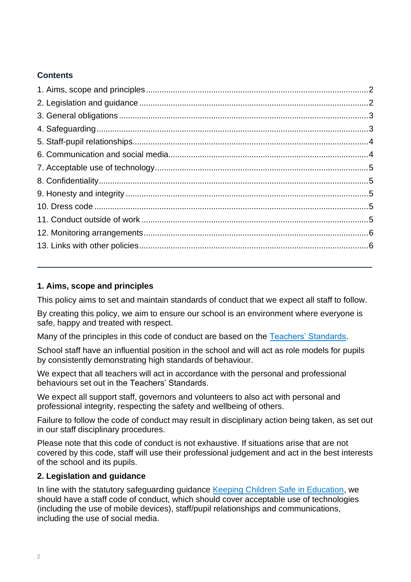# **Contents**

# <span id="page-1-0"></span>**1. Aims, scope and principles**

This policy aims to set and maintain standards of conduct that we expect all staff to follow.

By creating this policy, we aim to ensure our school is an environment where everyone is safe, happy and treated with respect.

Many of the principles in this code of conduct are based on the [Teachers' Standards.](https://www.gov.uk/government/publications/teachers-standards)

School staff have an influential position in the school and will act as role models for pupils by consistently demonstrating high standards of behaviour.

We expect that all teachers will act in accordance with the personal and professional behaviours set out in the Teachers' Standards.

We expect all support staff, governors and volunteers to also act with personal and professional integrity, respecting the safety and wellbeing of others.

Failure to follow the code of conduct may result in disciplinary action being taken, as set out in our staff disciplinary procedures.

Please note that this code of conduct is not exhaustive. If situations arise that are not covered by this code, staff will use their professional judgement and act in the best interests of the school and its pupils.

### <span id="page-1-1"></span>**2. Legislation and guidance**

In line with the statutory safeguarding guidance [Keeping Children Safe in Education,](https://www.gov.uk/government/publications/keeping-children-safe-in-education--2) we should have a staff code of conduct, which should cover acceptable use of technologies (including the use of mobile devices), staff/pupil relationships and communications, including the use of social media.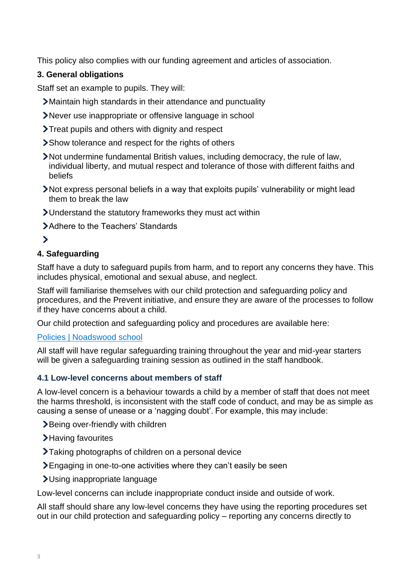This policy also complies with our funding agreement and articles of association.

# <span id="page-2-0"></span>**3. General obligations**

Staff set an example to pupils. They will:

- Maintain high standards in their attendance and punctuality
- Never use inappropriate or offensive language in school
- Treat pupils and others with dignity and respect
- Show tolerance and respect for the rights of others
- Not undermine fundamental British values, including democracy, the rule of law, individual liberty, and mutual respect and tolerance of those with different faiths and beliefs
- Not express personal beliefs in a way that exploits pupils' vulnerability or might lead them to break the law
- Understand the statutory frameworks they must act within
- Adhere to the Teachers' Standards

# $\overline{\phantom{0}}$

# <span id="page-2-1"></span>**4. Safeguarding**

Staff have a duty to safeguard pupils from harm, and to report any concerns they have. This includes physical, emotional and sexual abuse, and neglect.

Staff will familiarise themselves with our child protection and safeguarding policy and procedures, and the Prevent initiative, and ensure they are aware of the processes to follow if they have concerns about a child.

Our child protection and safeguarding policy and procedures are available here:

# [Policies | Noadswood school](https://www.noadswood.hants.sch.uk/policies)

All staff will have regular safeguarding training throughout the year and mid-year starters will be given a safeguarding training session as outlined in the staff handbook.

# **4.1 Low-level concerns about members of staff**

A low-level concern is a behaviour towards a child by a member of staff that does not meet the harms threshold, is inconsistent with the staff code of conduct, and may be as simple as causing a sense of unease or a 'nagging doubt'. For example, this may include:

- >Being over-friendly with children
- >Having favourites
- Taking photographs of children on a personal device
- Engaging in one-to-one activities where they can't easily be seen
- Using inappropriate language

Low-level concerns can include inappropriate conduct inside and outside of work.

All staff should share any low-level concerns they have using the reporting procedures set out in our child protection and safeguarding policy – reporting any concerns directly to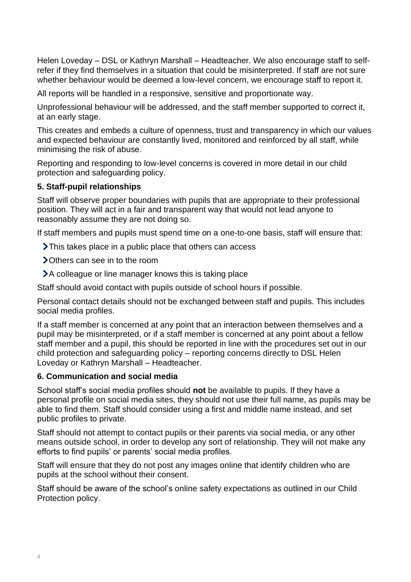Helen Loveday – DSL or Kathryn Marshall – Headteacher. We also encourage staff to selfrefer if they find themselves in a situation that could be misinterpreted. If staff are not sure whether behaviour would be deemed a low-level concern, we encourage staff to report it.

All reports will be handled in a responsive, sensitive and proportionate way.

Unprofessional behaviour will be addressed, and the staff member supported to correct it, at an early stage.

This creates and embeds a culture of openness, trust and transparency in which our values and expected behaviour are constantly lived, monitored and reinforced by all staff, while minimising the risk of abuse.

Reporting and responding to low-level concerns is covered in more detail in our child protection and safeguarding policy.

#### <span id="page-3-0"></span>**5. Staff-pupil relationships**

Staff will observe proper boundaries with pupils that are appropriate to their professional position. They will act in a fair and transparent way that would not lead anyone to reasonably assume they are not doing so.

If staff members and pupils must spend time on a one-to-one basis, staff will ensure that:

- > This takes place in a public place that others can access
- Others can see in to the room
- A colleague or line manager knows this is taking place

Staff should avoid contact with pupils outside of school hours if possible.

Personal contact details should not be exchanged between staff and pupils. This includes social media profiles.

If a staff member is concerned at any point that an interaction between themselves and a pupil may be misinterpreted, or if a staff member is concerned at any point about a fellow staff member and a pupil, this should be reported in line with the procedures set out in our child protection and safeguarding policy – reporting concerns directly to DSL Helen Loveday or Kathryn Marshall – Headteacher.

#### <span id="page-3-1"></span>**6. Communication and social media**

School staff's social media profiles should **not** be available to pupils. If they have a personal profile on social media sites, they should not use their full name, as pupils may be able to find them. Staff should consider using a first and middle name instead, and set public profiles to private.

Staff should not attempt to contact pupils or their parents via social media, or any other means outside school, in order to develop any sort of relationship. They will not make any efforts to find pupils' or parents' social media profiles.

Staff will ensure that they do not post any images online that identify children who are pupils at the school without their consent.

Staff should be aware of the school's online safety expectations as outlined in our Child Protection policy.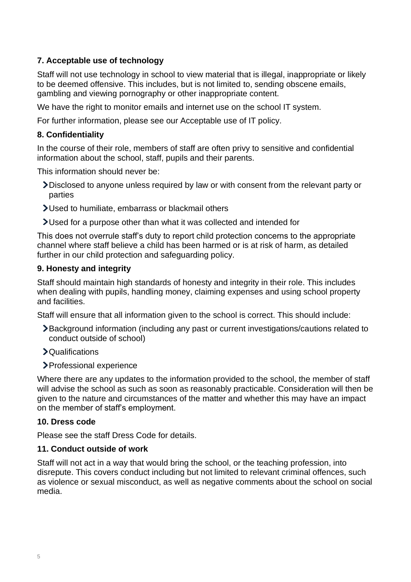# <span id="page-4-0"></span>**7. Acceptable use of technology**

Staff will not use technology in school to view material that is illegal, inappropriate or likely to be deemed offensive. This includes, but is not limited to, sending obscene emails, gambling and viewing pornography or other inappropriate content.

We have the right to monitor emails and internet use on the school IT system.

For further information, please see our Acceptable use of IT policy.

#### <span id="page-4-1"></span>**8. Confidentiality**

In the course of their role, members of staff are often privy to sensitive and confidential information about the school, staff, pupils and their parents.

This information should never be:

- Disclosed to anyone unless required by law or with consent from the relevant party or parties
- Used to humiliate, embarrass or blackmail others

Used for a purpose other than what it was collected and intended for

This does not overrule staff's duty to report child protection concerns to the appropriate channel where staff believe a child has been harmed or is at risk of harm, as detailed further in our child protection and safeguarding policy.

#### <span id="page-4-2"></span>**9. Honesty and integrity**

Staff should maintain high standards of honesty and integrity in their role. This includes when dealing with pupils, handling money, claiming expenses and using school property and facilities.

Staff will ensure that all information given to the school is correct. This should include:

- Background information (including any past or current investigations/cautions related to conduct outside of school)
- Qualifications
- > Professional experience

Where there are any updates to the information provided to the school, the member of staff will advise the school as such as soon as reasonably practicable. Consideration will then be given to the nature and circumstances of the matter and whether this may have an impact on the member of staff's employment.

#### <span id="page-4-3"></span>**10. Dress code**

Please see the staff Dress Code for details.

#### <span id="page-4-4"></span>**11. Conduct outside of work**

Staff will not act in a way that would bring the school, or the teaching profession, into disrepute. This covers conduct including but not limited to relevant criminal offences, such as violence or sexual misconduct, as well as negative comments about the school on social media.